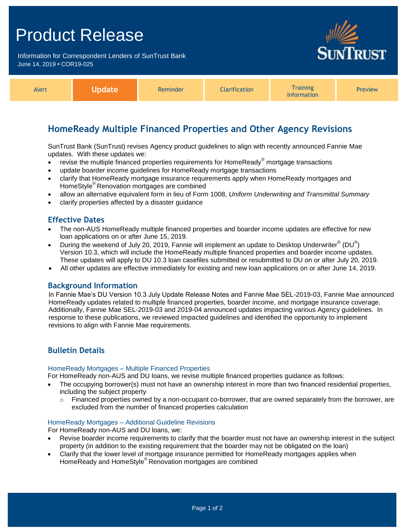# Product Release

Information for Correspondent Lenders of SunTrust Bank June 14, 2019 **•** COR19-025



| Alert |  | Reminder | <b>Clarification</b> | <b>Training</b><br>Information | <b>Preview</b> |
|-------|--|----------|----------------------|--------------------------------|----------------|
|-------|--|----------|----------------------|--------------------------------|----------------|

# **HomeReady Multiple Financed Properties and Other Agency Revisions**

SunTrust Bank (SunTrust) revises Agency product guidelines to align with recently announced Fannie Mae updates. With these updates we:

- revise the multiple financed properties requirements for HomeReady® mortgage transactions
- update boarder income guidelines for HomeReady mortgage transactions
- clarify that HomeReady mortgage insurance requirements apply when HomeReady mortgages and HomeStyle® Renovation mortgages are combined
- allow an alternative equivalent form in lieu of Form 1008, *Uniform Underwriting and Transmittal Summary*
- clarify properties affected by a disaster guidance

# **Effective Dates**

- The non-AUS HomeReady multiple financed properties and boarder income updates are effective for new loan applications on or after June 15, 2019.
- During the weekend of July 20, 2019, Fannie will implement an update to Desktop Underwriter $^{\circ}$  (DU $^{\circ}$ ) Version 10.3, which will include the HomeReady multiple financed properties and boarder income updates. These updates will apply to DU 10.3 loan casefiles submitted or resubmitted to DU on or after July 20, 2019.
- All other updates are effective immediately for existing and new loan applications on or after June 14, 2019.

## **Background Information**

In Fannie Mae's DU Version 10.3 July Update Release Notes and Fannie Mae SEL-2019-03, Fannie Mae announced HomeReady updates related to multiple financed properties, boarder income, and mortgage insurance coverage. Additionally, Fannie Mae SEL-2019-03 and 2019-04 announced updates impacting various Agency guidelines. In response to these publications, we reviewed impacted guidelines and identified the opportunity to implement revisions to align with Fannie Mae requirements.

# **Bulletin Details**

## HomeReady Mortgages – Multiple Financed Properties

For HomeReady non-AUS and DU loans, we revise multiple financed properties guidance as follows:

- The occupying borrower(s) must not have an ownership interest in more than two financed residential properties, including the subject property
	- $\circ$  Financed properties owned by a non-occupant co-borrower, that are owned separately from the borrower, are excluded from the number of financed properties calculation

## HomeReady Mortgages – Additional Guideline Revisions

For HomeReady non-AUS and DU loans, we:

- Revise boarder income requirements to clarify that the boarder must not have an ownership interest in the subject property (in addition to the existing requirement that the boarder may not be obligated on the loan)
- Clarify that the lower level of mortgage insurance permitted for HomeReady mortgages applies when HomeReady and HomeStyle® Renovation mortgages are combined